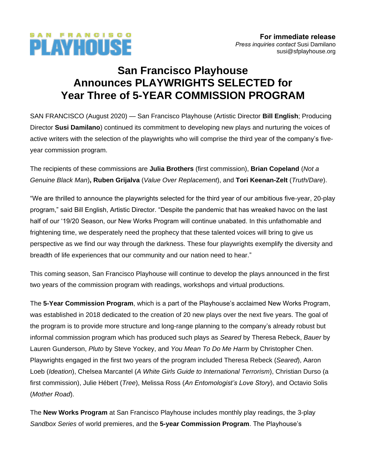# **San Francisco Playhouse Announces PLAYWRIGHTS SELECTED for Year Three of 5-YEAR COMMISSION PROGRAM**

SAN FRANCISCO

PLAYHOUSE

SAN FRANCISCO (August 2020) — San Francisco Playhouse (Artistic Director **Bill English**; Producing Director **Susi Damilano**) continued its commitment to developing new plays and nurturing the voices of active writers with the selection of the playwrights who will comprise the third year of the company's fiveyear commission program.

The recipients of these commissions are **Julia Brothers** (first commission), **Brian Copeland** (*Not a Genuine Black Man*)**, Ruben Grijalva** (*Value Over Replacement*), and **Tori Keenan-Zelt** (*Truth/Dare*).

"We are thrilled to announce the playwrights selected for the third year of our ambitious five-year, 20-play program," said Bill English, Artistic Director. "Despite the pandemic that has wreaked havoc on the last half of our '19/20 Season, our New Works Program will continue unabated. In this unfathomable and frightening time, we desperately need the prophecy that these talented voices will bring to give us perspective as we find our way through the darkness. These four playwrights exemplify the diversity and breadth of life experiences that our community and our nation need to hear."

This coming season, San Francisco Playhouse will continue to develop the plays announced in the first two years of the commission program with readings, workshops and virtual productions.

The **5-Year Commission Program**, which is a part of the Playhouse's acclaimed New Works Program, was established in 2018 dedicated to the creation of 20 new plays over the next five years. The goal of the program is to provide more structure and long-range planning to the company's already robust but informal commission program which has produced such plays as *Seared* by Theresa Rebeck, *Bauer* by Lauren Gunderson, *Pluto* by Steve Yockey, and *You Mean To Do Me Harm* by Christopher Chen. Playwrights engaged in the first two years of the program included Theresa Rebeck (*Seared*), Aaron Loeb (*Ideation*), Chelsea Marcantel (*A White Girls Guide to International Terrorism*), Christian Durso (a first commission), Julie Hébert (*Tree*), Melissa Ross (*An Entomologist's Love Story*), and Octavio Solis (*Mother Road*).

The **New Works Program** at San Francisco Playhouse includes monthly play readings, the 3-play *Sandbox Series* of world premieres, and the **5-year Commission Program**. The Playhouse's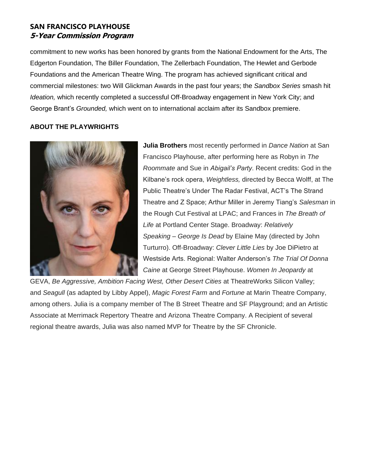### **SAN FRANCISCO PLAYHOUSE 5-Year Commission Program**

commitment to new works has been honored by grants from the National Endowment for the Arts, The Edgerton Foundation, The Biller Foundation, The Zellerbach Foundation, The Hewlet and Gerbode Foundations and the American Theatre Wing. The program has achieved significant critical and commercial milestones: two Will Glickman Awards in the past four years; the *Sandbox Series* smash hit *Ideation,* which recently completed a successful Off-Broadway engagement in New York City; and George Brant's *Grounded,* which went on to international acclaim after its Sandbox premiere.

#### **ABOUT THE PLAYWRIGHTS**



**Julia Brothers** most recently performed in *Dance Nation* at San Francisco Playhouse, after performing here as Robyn in *The Roommate* and Sue in *Abigail's Party*. Recent credits: God in the Kilbane's rock opera, *Weightless,* directed by Becca Wolff, at The Public Theatre's Under The Radar Festival, ACT's The Strand Theatre and Z Space; Arthur Miller in Jeremy Tiang's *Salesman* in the Rough Cut Festival at LPAC; and Frances in *The Breath of Life* at Portland Center Stage. Broadway: *Relatively Speaking* – *George Is Dead* by Elaine May (directed by John Turturro). Off-Broadway: *Clever Little Lies* by Joe DiPietro at Westside Arts. Regional: Walter Anderson's *The Trial Of Donna Caine* at George Street Playhouse. *Women In Jeopardy* at

GEVA, *Be Aggressive, Ambition Facing West, Other Desert Cities* at TheatreWorks Silicon Valley; and *Seagull* (as adapted by Libby Appel), *Magic Forest Farm* and *Fortune* at Marin Theatre Company, among others. Julia is a company member of The B Street Theatre and SF Playground; and an Artistic Associate at Merrimack Repertory Theatre and Arizona Theatre Company. A Recipient of several regional theatre awards, Julia was also named MVP for Theatre by the SF Chronicle.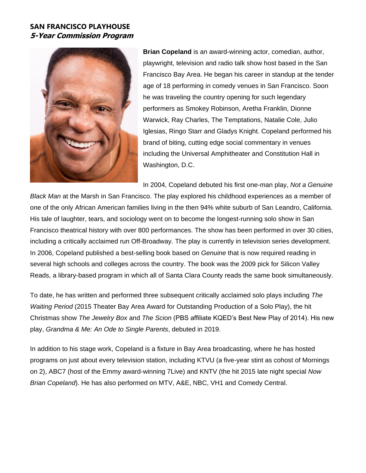## **SAN FRANCISCO PLAYHOUSE 5-Year Commission Program**



**Brian Copeland** is an award-winning actor, comedian, author, playwright, television and radio talk show host based in the San Francisco Bay Area. He began his career in standup at the tender age of 18 performing in comedy venues in San Francisco. Soon he was traveling the country opening for such legendary performers as Smokey Robinson, Aretha Franklin, Dionne Warwick, Ray Charles, The Temptations, Natalie Cole, Julio Iglesias, Ringo Starr and Gladys Knight. Copeland performed his brand of biting, cutting edge social commentary in venues including the Universal Amphitheater and Constitution Hall in Washington, D.C.

In 2004, Copeland debuted his first one-man play, *Not a Genuine* 

*Black Man* at the Marsh in San Francisco. The play explored his childhood experiences as a member of one of the only African American families living in the then 94% white suburb of San Leandro, California. His tale of laughter, tears, and sociology went on to become the longest-running solo show in San Francisco theatrical history with over 800 performances. The show has been performed in over 30 cities, including a critically acclaimed run Off-Broadway. The play is currently in television series development. In 2006, Copeland published a best-selling book based on *Genuine* that is now required reading in several high schools and colleges across the country. The book was the 2009 pick for Silicon Valley Reads, a library-based program in which all of Santa Clara County reads the same book simultaneously.

To date, he has written and performed three subsequent critically acclaimed solo plays including *The Waiting Period* (2015 Theater Bay Area Award for Outstanding Production of a Solo Play), the hit Christmas show *The Jewelry Box* and *The Scion* (PBS affiliate KQED's Best New Play of 2014). His new play, *Grandma & Me: An Ode to Single Parents*, debuted in 2019.

In addition to his stage work, Copeland is a fixture in Bay Area broadcasting, where he has hosted programs on just about every television station, including KTVU (a five-year stint as cohost of Mornings on 2), ABC7 (host of the Emmy award-winning 7Live) and KNTV (the hit 2015 late night special *Now Brian Copeland*). He has also performed on MTV, A&E, NBC, VH1 and Comedy Central.